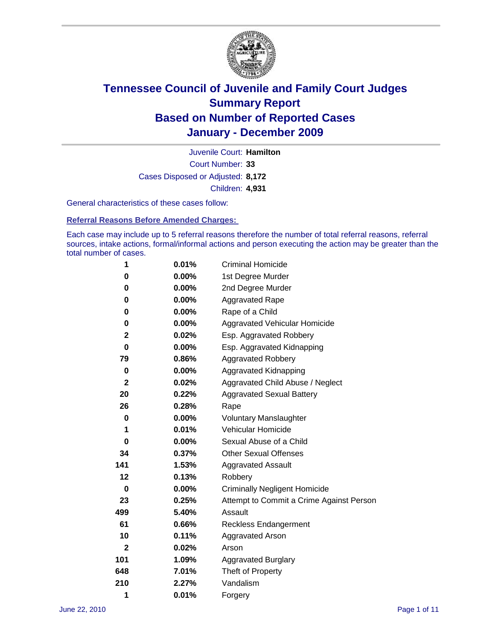

Court Number: **33** Juvenile Court: **Hamilton** Cases Disposed or Adjusted: **8,172** Children: **4,931**

General characteristics of these cases follow:

**Referral Reasons Before Amended Charges:** 

Each case may include up to 5 referral reasons therefore the number of total referral reasons, referral sources, intake actions, formal/informal actions and person executing the action may be greater than the total number of cases.

| 1            | 0.01%    | <b>Criminal Homicide</b>                 |
|--------------|----------|------------------------------------------|
| 0            | 0.00%    | 1st Degree Murder                        |
| 0            | $0.00\%$ | 2nd Degree Murder                        |
| 0            | 0.00%    | <b>Aggravated Rape</b>                   |
| 0            | $0.00\%$ | Rape of a Child                          |
| 0            | 0.00%    | Aggravated Vehicular Homicide            |
| 2            | 0.02%    | Esp. Aggravated Robbery                  |
| 0            | 0.00%    | Esp. Aggravated Kidnapping               |
| 79           | 0.86%    | <b>Aggravated Robbery</b>                |
| $\bf{0}$     | 0.00%    | Aggravated Kidnapping                    |
| $\mathbf{2}$ | 0.02%    | Aggravated Child Abuse / Neglect         |
| 20           | 0.22%    | <b>Aggravated Sexual Battery</b>         |
| 26           | 0.28%    | Rape                                     |
| 0            | 0.00%    | <b>Voluntary Manslaughter</b>            |
| 1            | 0.01%    | Vehicular Homicide                       |
| 0            | 0.00%    | Sexual Abuse of a Child                  |
| 34           | 0.37%    | <b>Other Sexual Offenses</b>             |
| 141          | 1.53%    | <b>Aggravated Assault</b>                |
| 12           | 0.13%    | Robbery                                  |
| 0            | $0.00\%$ | <b>Criminally Negligent Homicide</b>     |
| 23           | 0.25%    | Attempt to Commit a Crime Against Person |
| 499          | 5.40%    | Assault                                  |
| 61           | 0.66%    | <b>Reckless Endangerment</b>             |
| 10           | 0.11%    | <b>Aggravated Arson</b>                  |
| $\mathbf{2}$ | 0.02%    | Arson                                    |
| 101          | 1.09%    | <b>Aggravated Burglary</b>               |
| 648          | 7.01%    | Theft of Property                        |
| 210          | 2.27%    | Vandalism                                |
| 1            | 0.01%    | Forgery                                  |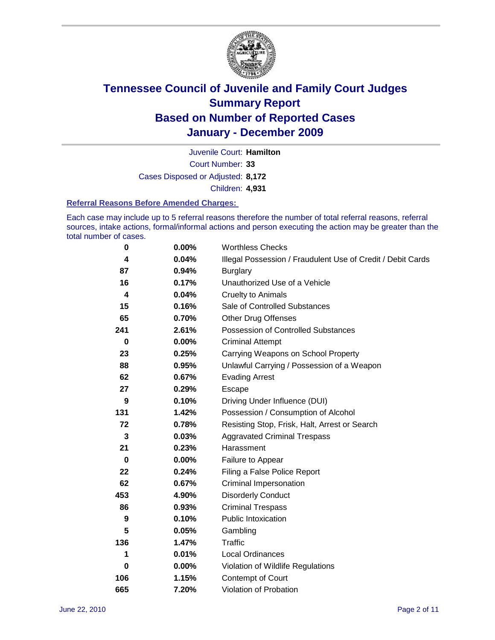

Court Number: **33** Juvenile Court: **Hamilton** Cases Disposed or Adjusted: **8,172** Children: **4,931**

#### **Referral Reasons Before Amended Charges:**

Each case may include up to 5 referral reasons therefore the number of total referral reasons, referral sources, intake actions, formal/informal actions and person executing the action may be greater than the total number of cases.

| $\pmb{0}$   | 0.00%    | <b>Worthless Checks</b>                                     |
|-------------|----------|-------------------------------------------------------------|
| 4           | 0.04%    | Illegal Possession / Fraudulent Use of Credit / Debit Cards |
| 87          | 0.94%    | <b>Burglary</b>                                             |
| 16          | 0.17%    | Unauthorized Use of a Vehicle                               |
| 4           | 0.04%    | <b>Cruelty to Animals</b>                                   |
| 15          | 0.16%    | Sale of Controlled Substances                               |
| 65          | 0.70%    | <b>Other Drug Offenses</b>                                  |
| 241         | 2.61%    | Possession of Controlled Substances                         |
| $\mathbf 0$ | $0.00\%$ | <b>Criminal Attempt</b>                                     |
| 23          | 0.25%    | Carrying Weapons on School Property                         |
| 88          | 0.95%    | Unlawful Carrying / Possession of a Weapon                  |
| 62          | 0.67%    | <b>Evading Arrest</b>                                       |
| 27          | 0.29%    | Escape                                                      |
| 9           | 0.10%    | Driving Under Influence (DUI)                               |
| 131         | 1.42%    | Possession / Consumption of Alcohol                         |
| 72          | 0.78%    | Resisting Stop, Frisk, Halt, Arrest or Search               |
| 3           | 0.03%    | <b>Aggravated Criminal Trespass</b>                         |
| 21          | 0.23%    | Harassment                                                  |
| $\bf{0}$    | 0.00%    | Failure to Appear                                           |
| 22          | 0.24%    | Filing a False Police Report                                |
| 62          | 0.67%    | Criminal Impersonation                                      |
| 453         | 4.90%    | <b>Disorderly Conduct</b>                                   |
| 86          | 0.93%    | <b>Criminal Trespass</b>                                    |
| 9           | 0.10%    | <b>Public Intoxication</b>                                  |
| 5           | 0.05%    | Gambling                                                    |
| 136         | 1.47%    | <b>Traffic</b>                                              |
| 1           | 0.01%    | Local Ordinances                                            |
| 0           | 0.00%    | Violation of Wildlife Regulations                           |
| 106         | 1.15%    | Contempt of Court                                           |
| 665         | 7.20%    | Violation of Probation                                      |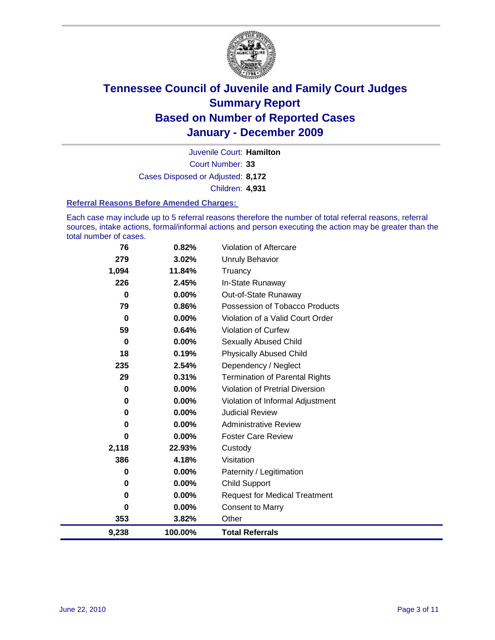

Court Number: **33** Juvenile Court: **Hamilton** Cases Disposed or Adjusted: **8,172** Children: **4,931**

#### **Referral Reasons Before Amended Charges:**

Each case may include up to 5 referral reasons therefore the number of total referral reasons, referral sources, intake actions, formal/informal actions and person executing the action may be greater than the total number of cases.

| 76       | 0.82%    | Violation of Aftercare                |
|----------|----------|---------------------------------------|
| 279      | 3.02%    | <b>Unruly Behavior</b>                |
| 1,094    | 11.84%   | Truancy                               |
| 226      | 2.45%    | In-State Runaway                      |
| $\bf{0}$ | 0.00%    | Out-of-State Runaway                  |
| 79       | 0.86%    | Possession of Tobacco Products        |
| 0        | $0.00\%$ | Violation of a Valid Court Order      |
| 59       | 0.64%    | <b>Violation of Curfew</b>            |
| 0        | 0.00%    | <b>Sexually Abused Child</b>          |
| 18       | 0.19%    | <b>Physically Abused Child</b>        |
| 235      | 2.54%    | Dependency / Neglect                  |
| 29       | 0.31%    | <b>Termination of Parental Rights</b> |
| 0        | 0.00%    | Violation of Pretrial Diversion       |
| 0        | 0.00%    | Violation of Informal Adjustment      |
| 0        | 0.00%    | <b>Judicial Review</b>                |
| 0        | $0.00\%$ | <b>Administrative Review</b>          |
| 0        | $0.00\%$ | <b>Foster Care Review</b>             |
| 2,118    | 22.93%   | Custody                               |
| 386      | 4.18%    | Visitation                            |
| 0        | 0.00%    | Paternity / Legitimation              |
| 0        | $0.00\%$ | <b>Child Support</b>                  |
| 0        | 0.00%    | <b>Request for Medical Treatment</b>  |
| 0        | 0.00%    | <b>Consent to Marry</b>               |
| 353      | 3.82%    | Other                                 |
| 9,238    | 100.00%  | <b>Total Referrals</b>                |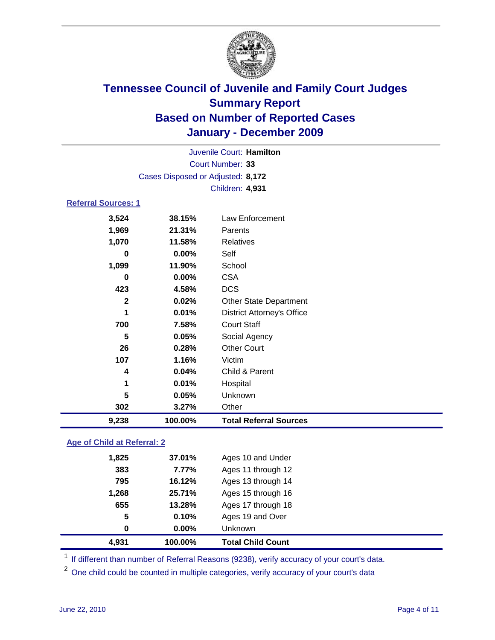

| Juvenile Court: Hamilton           |                 |                                   |  |  |  |
|------------------------------------|-----------------|-----------------------------------|--|--|--|
| Court Number: 33                   |                 |                                   |  |  |  |
| Cases Disposed or Adjusted: 8,172  |                 |                                   |  |  |  |
|                                    | Children: 4,931 |                                   |  |  |  |
| <b>Referral Sources: 1</b>         |                 |                                   |  |  |  |
| 3,524                              | 38.15%          | Law Enforcement                   |  |  |  |
| 1,969                              | 21.31%          | Parents                           |  |  |  |
| 1,070                              | 11.58%          | Relatives                         |  |  |  |
| 0                                  | 0.00%           | Self                              |  |  |  |
| 1,099                              | 11.90%          | School                            |  |  |  |
| 0                                  | 0.00%           | <b>CSA</b>                        |  |  |  |
| 423                                | 4.58%           | <b>DCS</b>                        |  |  |  |
| $\mathbf{2}$                       | 0.02%           | <b>Other State Department</b>     |  |  |  |
| 1                                  | 0.01%           | <b>District Attorney's Office</b> |  |  |  |
| 700                                | 7.58%           | <b>Court Staff</b>                |  |  |  |
| 5                                  | 0.05%           | Social Agency                     |  |  |  |
| 26                                 | 0.28%           | <b>Other Court</b>                |  |  |  |
| 107                                | 1.16%           | Victim                            |  |  |  |
| 4                                  | 0.04%           | Child & Parent                    |  |  |  |
| 1                                  | 0.01%           | Hospital                          |  |  |  |
| 5                                  | 0.05%           | Unknown                           |  |  |  |
| 302                                | 3.27%           | Other                             |  |  |  |
| 9,238                              | 100.00%         | <b>Total Referral Sources</b>     |  |  |  |
| <b>Age of Child at Referral: 2</b> |                 |                                   |  |  |  |

| 4,931 | 100.00%  | <b>Total Child Count</b> |
|-------|----------|--------------------------|
| 0     | $0.00\%$ | <b>Unknown</b>           |
| 5     | 0.10%    | Ages 19 and Over         |
| 655   | 13.28%   | Ages 17 through 18       |
| 1,268 | 25.71%   | Ages 15 through 16       |
| 795   | 16.12%   | Ages 13 through 14       |
| 383   | 7.77%    | Ages 11 through 12       |
| 1,825 | 37.01%   | Ages 10 and Under        |
|       |          |                          |

<sup>1</sup> If different than number of Referral Reasons (9238), verify accuracy of your court's data.

<sup>2</sup> One child could be counted in multiple categories, verify accuracy of your court's data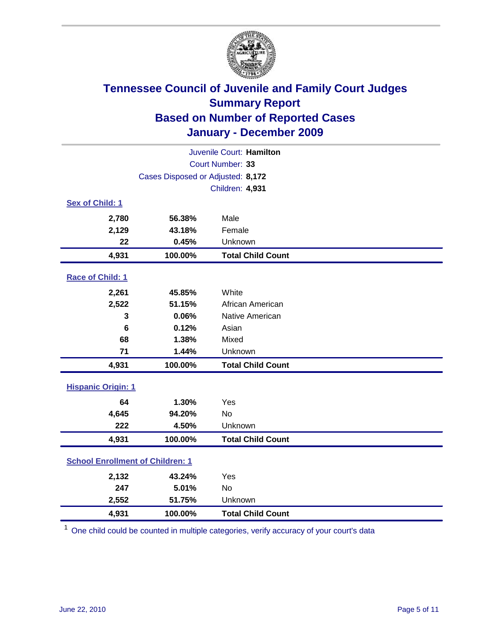

| Juvenile Court: Hamilton                |                                   |                          |  |  |
|-----------------------------------------|-----------------------------------|--------------------------|--|--|
| Court Number: 33                        |                                   |                          |  |  |
|                                         | Cases Disposed or Adjusted: 8,172 |                          |  |  |
|                                         |                                   | Children: 4,931          |  |  |
| Sex of Child: 1                         |                                   |                          |  |  |
| 2,780                                   | 56.38%                            | Male                     |  |  |
| 2,129                                   | 43.18%                            | Female                   |  |  |
| 22                                      | 0.45%                             | Unknown                  |  |  |
| 4,931                                   | 100.00%                           | <b>Total Child Count</b> |  |  |
| Race of Child: 1                        |                                   |                          |  |  |
| 2,261                                   | 45.85%                            | White                    |  |  |
| 2,522                                   | 51.15%                            | African American         |  |  |
| 3                                       | 0.06%                             | Native American          |  |  |
| 6                                       | 0.12%                             | Asian                    |  |  |
| 68                                      | 1.38%                             | Mixed                    |  |  |
| 71                                      | 1.44%                             | Unknown                  |  |  |
| 4,931                                   | 100.00%                           | <b>Total Child Count</b> |  |  |
| <b>Hispanic Origin: 1</b>               |                                   |                          |  |  |
| 64                                      | 1.30%                             | Yes                      |  |  |
| 4,645                                   | 94.20%                            | <b>No</b>                |  |  |
| 222                                     | 4.50%                             | Unknown                  |  |  |
| 4,931                                   | 100.00%                           | <b>Total Child Count</b> |  |  |
| <b>School Enrollment of Children: 1</b> |                                   |                          |  |  |
| 2,132                                   | 43.24%                            | Yes                      |  |  |
| 247                                     | 5.01%                             | No                       |  |  |
| 2,552                                   | 51.75%                            | Unknown                  |  |  |
| 4,931                                   | 100.00%                           | <b>Total Child Count</b> |  |  |

<sup>1</sup> One child could be counted in multiple categories, verify accuracy of your court's data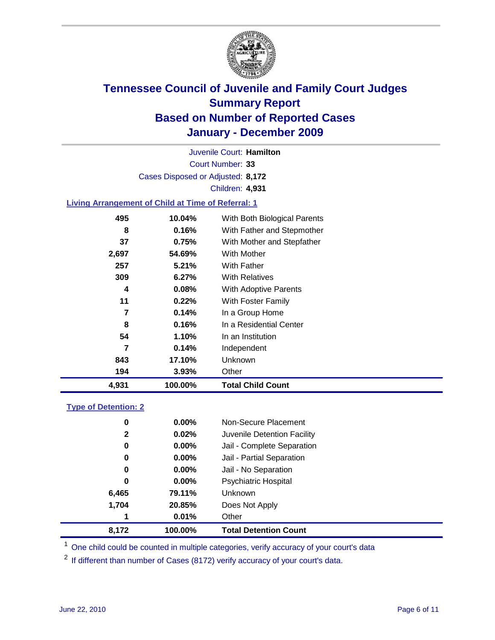

Court Number: **33** Juvenile Court: **Hamilton** Cases Disposed or Adjusted: **8,172** Children: **4,931**

### **Living Arrangement of Child at Time of Referral: 1**

| 4,931 | 100.00%  | <b>Total Child Count</b>     |
|-------|----------|------------------------------|
| 194   | 3.93%    | Other                        |
| 843   | 17.10%   | Unknown                      |
| 7     | 0.14%    | Independent                  |
| 54    | 1.10%    | In an Institution            |
| 8     | 0.16%    | In a Residential Center      |
| 7     | 0.14%    | In a Group Home              |
| 11    | 0.22%    | With Foster Family           |
| 4     | $0.08\%$ | With Adoptive Parents        |
| 309   | 6.27%    | <b>With Relatives</b>        |
| 257   | 5.21%    | <b>With Father</b>           |
| 2,697 | 54.69%   | With Mother                  |
| 37    | 0.75%    | With Mother and Stepfather   |
| 8     | 0.16%    | With Father and Stepmother   |
| 495   | 10.04%   | With Both Biological Parents |
|       |          |                              |

#### **Type of Detention: 2**

| 8,172        | 100.00%  | <b>Total Detention Count</b> |  |
|--------------|----------|------------------------------|--|
| 1            | 0.01%    | Other                        |  |
| 1,704        | 20.85%   | Does Not Apply               |  |
| 6,465        | 79.11%   | Unknown                      |  |
| 0            | 0.00%    | <b>Psychiatric Hospital</b>  |  |
| 0            | 0.00%    | Jail - No Separation         |  |
| 0            | $0.00\%$ | Jail - Partial Separation    |  |
| 0            | 0.00%    | Jail - Complete Separation   |  |
| $\mathbf{2}$ | 0.02%    | Juvenile Detention Facility  |  |
| 0            | $0.00\%$ | Non-Secure Placement         |  |
|              |          |                              |  |

<sup>1</sup> One child could be counted in multiple categories, verify accuracy of your court's data

<sup>2</sup> If different than number of Cases (8172) verify accuracy of your court's data.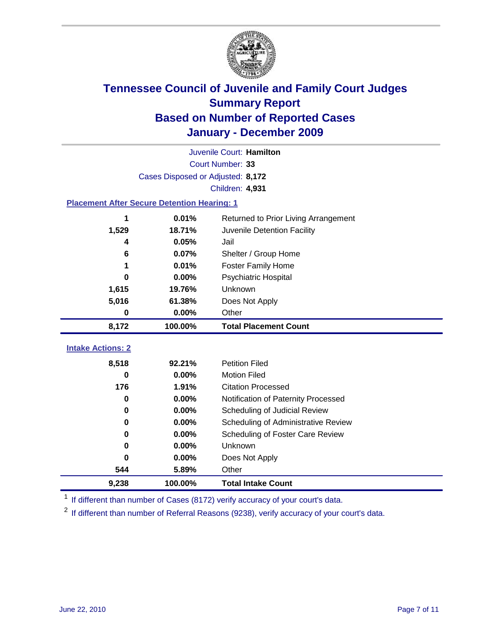

|                                                    | Juvenile Court: Hamilton          |                                      |  |  |  |
|----------------------------------------------------|-----------------------------------|--------------------------------------|--|--|--|
|                                                    | Court Number: 33                  |                                      |  |  |  |
|                                                    | Cases Disposed or Adjusted: 8,172 |                                      |  |  |  |
|                                                    |                                   | <b>Children: 4,931</b>               |  |  |  |
| <b>Placement After Secure Detention Hearing: 1</b> |                                   |                                      |  |  |  |
| 1                                                  | 0.01%                             | Returned to Prior Living Arrangement |  |  |  |
| 1,529                                              | 18.71%                            | Juvenile Detention Facility          |  |  |  |
| 4                                                  | 0.05%                             | Jail                                 |  |  |  |
| 6                                                  | 0.07%                             | Shelter / Group Home                 |  |  |  |
| 1                                                  | 0.01%                             | <b>Foster Family Home</b>            |  |  |  |
| 0                                                  | 0.00%                             | Psychiatric Hospital                 |  |  |  |
| 1,615                                              | 19.76%                            | <b>Unknown</b>                       |  |  |  |
| 5,016                                              | 61.38%                            | Does Not Apply                       |  |  |  |
| $\mathbf 0$                                        | 0.00%                             | Other                                |  |  |  |
| 8,172                                              | 100.00%                           | <b>Total Placement Count</b>         |  |  |  |
| <b>Intake Actions: 2</b>                           |                                   |                                      |  |  |  |
|                                                    |                                   |                                      |  |  |  |
| 8,518                                              | 92.21%                            | <b>Petition Filed</b>                |  |  |  |
| 0                                                  | 0.00%                             | <b>Motion Filed</b>                  |  |  |  |
| 176                                                | 1.91%                             | <b>Citation Processed</b>            |  |  |  |
| 0                                                  | 0.00%                             | Notification of Paternity Processed  |  |  |  |
| 0                                                  | 0.00%                             | Scheduling of Judicial Review        |  |  |  |
| 0                                                  | 0.00%                             | Scheduling of Administrative Review  |  |  |  |
| 0                                                  | 0.00%                             | Scheduling of Foster Care Review     |  |  |  |
| 0                                                  | 0.00%                             | <b>Unknown</b>                       |  |  |  |
| 0                                                  | 0.00%                             | Does Not Apply                       |  |  |  |
| 544                                                | 5.89%                             | Other                                |  |  |  |
| 9,238                                              | 100.00%                           | <b>Total Intake Count</b>            |  |  |  |

<sup>1</sup> If different than number of Cases (8172) verify accuracy of your court's data.

<sup>2</sup> If different than number of Referral Reasons (9238), verify accuracy of your court's data.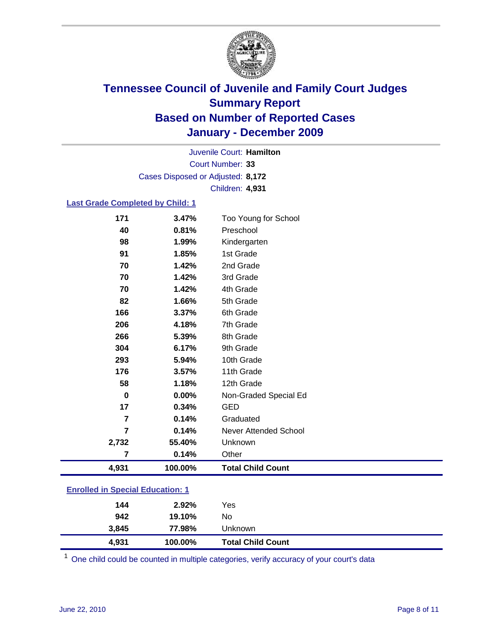

Court Number: **33** Juvenile Court: **Hamilton** Cases Disposed or Adjusted: **8,172** Children: **4,931**

#### **Last Grade Completed by Child: 1**

| 171                                     | 3.47%   | Too Young for School         |  |
|-----------------------------------------|---------|------------------------------|--|
| 40                                      | 0.81%   | Preschool                    |  |
| 98                                      | 1.99%   | Kindergarten                 |  |
| 91                                      | 1.85%   | 1st Grade                    |  |
| 70                                      | 1.42%   | 2nd Grade                    |  |
| 70                                      | 1.42%   | 3rd Grade                    |  |
| 70                                      | 1.42%   | 4th Grade                    |  |
| 82                                      | 1.66%   | 5th Grade                    |  |
| 166                                     | 3.37%   | 6th Grade                    |  |
| 206                                     | 4.18%   | 7th Grade                    |  |
| 266                                     | 5.39%   | 8th Grade                    |  |
| 304                                     | 6.17%   | 9th Grade                    |  |
| 293                                     | 5.94%   | 10th Grade                   |  |
| 176                                     | 3.57%   | 11th Grade                   |  |
| 58                                      | 1.18%   | 12th Grade                   |  |
| $\bf{0}$                                | 0.00%   | Non-Graded Special Ed        |  |
| 17                                      | 0.34%   | <b>GED</b>                   |  |
| 7                                       | 0.14%   | Graduated                    |  |
| $\overline{7}$                          | 0.14%   | <b>Never Attended School</b> |  |
| 2,732                                   | 55.40%  | Unknown                      |  |
| 7                                       | 0.14%   | Other                        |  |
| 4,931                                   | 100.00% | <b>Total Child Count</b>     |  |
| <b>Enrolled in Special Education: 1</b> |         |                              |  |

| 144<br>942 | 2.92%<br>19.10% | Yes<br>No                |  |
|------------|-----------------|--------------------------|--|
| 3,845      | 77.98%          | Unknown                  |  |
| 4,931      | 100.00%         | <b>Total Child Count</b> |  |

One child could be counted in multiple categories, verify accuracy of your court's data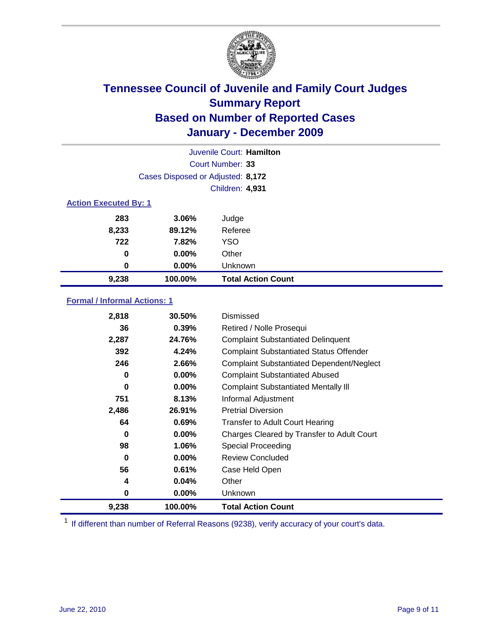

|                              | Juvenile Court: Hamilton          |                           |  |  |
|------------------------------|-----------------------------------|---------------------------|--|--|
|                              | Court Number: 33                  |                           |  |  |
|                              | Cases Disposed or Adjusted: 8,172 |                           |  |  |
|                              |                                   | <b>Children: 4,931</b>    |  |  |
| <b>Action Executed By: 1</b> |                                   |                           |  |  |
| 283                          | 3.06%                             | Judge                     |  |  |
| 8,233                        | 89.12%                            | Referee                   |  |  |
| 722                          | 7.82%                             | <b>YSO</b>                |  |  |
| $\bf{0}$                     | $0.00\%$                          | Other                     |  |  |
| 0                            | $0.00\%$                          | Unknown                   |  |  |
| 9,238                        | 100.00%                           | <b>Total Action Count</b> |  |  |

### **Formal / Informal Actions: 1**

| 2,818 | 30.50%   | Dismissed                                        |
|-------|----------|--------------------------------------------------|
| 36    | 0.39%    | Retired / Nolle Prosequi                         |
| 2,287 | 24.76%   | <b>Complaint Substantiated Delinquent</b>        |
| 392   | 4.24%    | <b>Complaint Substantiated Status Offender</b>   |
| 246   | 2.66%    | <b>Complaint Substantiated Dependent/Neglect</b> |
| 0     | $0.00\%$ | <b>Complaint Substantiated Abused</b>            |
| 0     | $0.00\%$ | <b>Complaint Substantiated Mentally III</b>      |
| 751   | 8.13%    | Informal Adjustment                              |
| 2,486 | 26.91%   | <b>Pretrial Diversion</b>                        |
| 64    | 0.69%    | <b>Transfer to Adult Court Hearing</b>           |
| 0     | $0.00\%$ | Charges Cleared by Transfer to Adult Court       |
| 98    | 1.06%    | Special Proceeding                               |
| 0     | $0.00\%$ | <b>Review Concluded</b>                          |
| 56    | 0.61%    | Case Held Open                                   |
| 4     | 0.04%    | Other                                            |
| 0     | $0.00\%$ | Unknown                                          |
| 9,238 | 100.00%  | Total Action Count                               |

<sup>1</sup> If different than number of Referral Reasons (9238), verify accuracy of your court's data.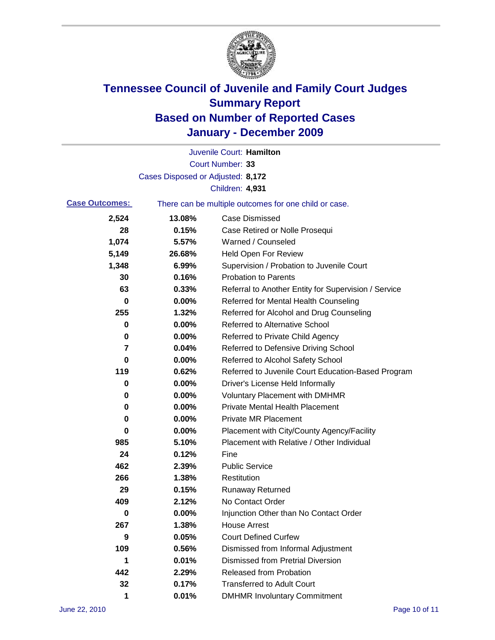

|                       |                                   | Juvenile Court: Hamilton                              |
|-----------------------|-----------------------------------|-------------------------------------------------------|
|                       |                                   | Court Number: 33                                      |
|                       | Cases Disposed or Adjusted: 8,172 |                                                       |
|                       |                                   | Children: 4,931                                       |
| <b>Case Outcomes:</b> |                                   | There can be multiple outcomes for one child or case. |
| 2,524                 | 13.08%                            | <b>Case Dismissed</b>                                 |
| 28                    | 0.15%                             | Case Retired or Nolle Prosequi                        |
| 1,074                 | 5.57%                             | Warned / Counseled                                    |
| 5,149                 | 26.68%                            | <b>Held Open For Review</b>                           |
| 1,348                 | 6.99%                             | Supervision / Probation to Juvenile Court             |
| 30                    | 0.16%                             | <b>Probation to Parents</b>                           |
| 63                    | 0.33%                             | Referral to Another Entity for Supervision / Service  |
| 0                     | 0.00%                             | Referred for Mental Health Counseling                 |
| 255                   | 1.32%                             | Referred for Alcohol and Drug Counseling              |
| 0                     | 0.00%                             | <b>Referred to Alternative School</b>                 |
| 0                     | 0.00%                             | Referred to Private Child Agency                      |
| 7                     | 0.04%                             | Referred to Defensive Driving School                  |
| 0                     | 0.00%                             | Referred to Alcohol Safety School                     |
| 119                   | 0.62%                             | Referred to Juvenile Court Education-Based Program    |
| 0                     | 0.00%                             | Driver's License Held Informally                      |
| 0                     | 0.00%                             | <b>Voluntary Placement with DMHMR</b>                 |
| 0                     | 0.00%                             | <b>Private Mental Health Placement</b>                |
| 0                     | 0.00%                             | <b>Private MR Placement</b>                           |
| 0                     | 0.00%                             | Placement with City/County Agency/Facility            |
| 985                   | 5.10%                             | Placement with Relative / Other Individual            |
| 24                    | 0.12%                             | Fine                                                  |
| 462                   | 2.39%                             | <b>Public Service</b>                                 |
| 266                   | 1.38%                             | Restitution                                           |
| 29                    | 0.15%                             | <b>Runaway Returned</b>                               |
| 409                   | 2.12%                             | No Contact Order                                      |
| $\bf{0}$              | 0.00%                             | Injunction Other than No Contact Order                |
| 267                   | 1.38%                             | <b>House Arrest</b>                                   |
| 9                     | 0.05%                             | <b>Court Defined Curfew</b>                           |
| 109                   | 0.56%                             | Dismissed from Informal Adjustment                    |
| 1                     | 0.01%                             | <b>Dismissed from Pretrial Diversion</b>              |
| 442                   | 2.29%                             | Released from Probation                               |
| 32                    | 0.17%                             | <b>Transferred to Adult Court</b>                     |
| 1                     | 0.01%                             | <b>DMHMR Involuntary Commitment</b>                   |